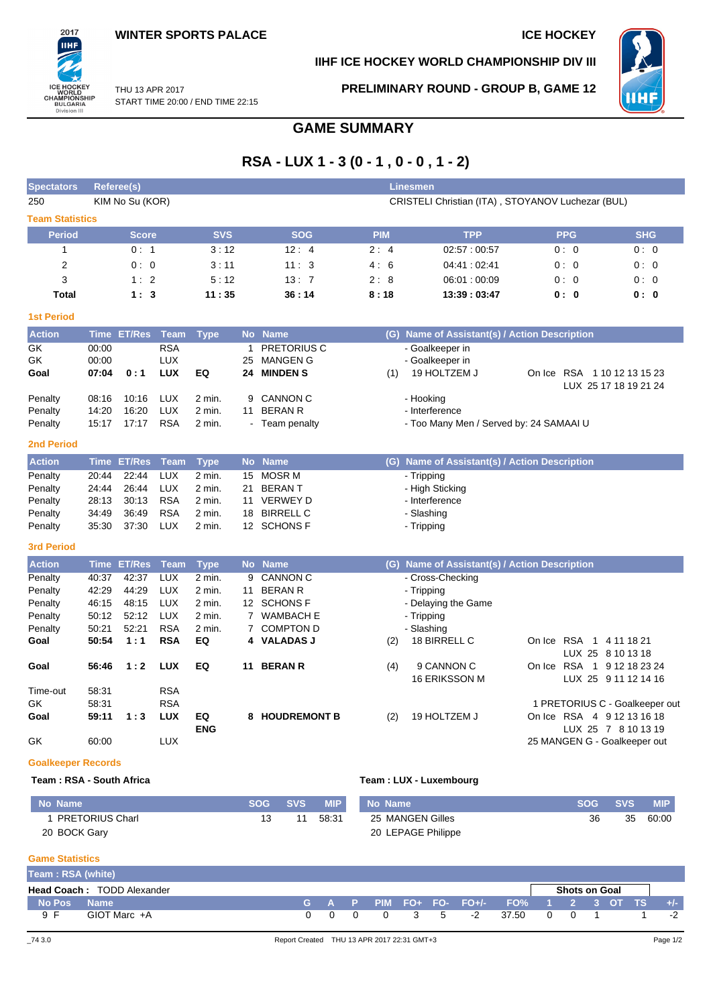### **IIHF ICE HOCKEY WORLD CHAMPIONSHIP DIV III**



THU 13 APR 2017 START TIME 20:00 / END TIME 22:15 **PRELIMINARY ROUND - GROUP B, GAME 12**



# **GAME SUMMARY**

# **RSA - LUX 1 - 3 (0 - 1 , 0 - 0 , 1 - 2)**

| <b>Spectators</b>                                                        |                                                    | Referee(s)                                       |                                                                                  |                                                        |                          |                                                                                                    |            | <b>Linesmen</b>                                                                                   |                              |                                                       |
|--------------------------------------------------------------------------|----------------------------------------------------|--------------------------------------------------|----------------------------------------------------------------------------------|--------------------------------------------------------|--------------------------|----------------------------------------------------------------------------------------------------|------------|---------------------------------------------------------------------------------------------------|------------------------------|-------------------------------------------------------|
| 250                                                                      |                                                    | KIM No Su (KOR)                                  |                                                                                  |                                                        |                          |                                                                                                    |            | CRISTELI Christian (ITA), STOYANOV Luchezar (BUL)                                                 |                              |                                                       |
| <b>Team Statistics</b>                                                   |                                                    |                                                  |                                                                                  |                                                        |                          |                                                                                                    |            |                                                                                                   |                              |                                                       |
| <b>Period</b>                                                            |                                                    | <b>Score</b>                                     |                                                                                  | <b>SVS</b>                                             |                          | <b>SOG</b>                                                                                         | <b>PIM</b> | <b>TPP</b>                                                                                        | <b>PPG</b>                   | <b>SHG</b>                                            |
| $\mathbf{1}$                                                             |                                                    | 0:1                                              |                                                                                  | 3:12                                                   |                          | 12:4                                                                                               | 2:4        | 02:57:00:57                                                                                       | 0:0                          | 0:0                                                   |
| $\overline{2}$                                                           |                                                    | 0:0                                              |                                                                                  | 3:11                                                   |                          | 11:3                                                                                               | 4:6        | 04:41:02:41                                                                                       | 0:0                          | 0:0                                                   |
| 3                                                                        |                                                    | 1:2                                              |                                                                                  | 5:12                                                   |                          | 13:7                                                                                               | 2:8        | 06:01:00:09                                                                                       | 0:0                          | 0:0                                                   |
| <b>Total</b>                                                             |                                                    | 1:3                                              |                                                                                  | 11:35                                                  |                          | 36:14                                                                                              | 8:18       | 13:39:03:47                                                                                       | 0:0                          | 0:0                                                   |
| <b>1st Period</b>                                                        |                                                    |                                                  |                                                                                  |                                                        |                          |                                                                                                    |            |                                                                                                   |                              |                                                       |
| <b>Action</b>                                                            |                                                    | Time ET/Res Team                                 |                                                                                  | <b>Type</b>                                            |                          | No Name                                                                                            |            | (G) Name of Assistant(s) / Action Description                                                     |                              |                                                       |
| GK<br>GK<br>Goal                                                         | 00:00<br>00:00<br>07:04                            | 0:1                                              | <b>RSA</b><br><b>LUX</b><br><b>LUX</b>                                           | EQ                                                     | $\mathbf{1}$<br>25<br>24 | <b>PRETORIUS C</b><br><b>MANGEN G</b><br><b>MINDEN S</b>                                           | (1)        | - Goalkeeper in<br>- Goalkeeper in<br>19 HOLTZEM J                                                | On Ice RSA 1 10 12 13 15 23  | LUX 25 17 18 19 21 24                                 |
| Penalty<br>Penalty<br>Penalty                                            | 08:16<br>14:20<br>15:17                            | 10:16<br>16:20<br>17:17                          | <b>LUX</b><br><b>LUX</b><br><b>RSA</b>                                           | 2 min.<br>2 min.<br>2 min.                             | 9<br>11                  | <b>CANNON C</b><br><b>BERAN R</b><br>- Team penalty                                                |            | - Hooking<br>- Interference<br>- Too Many Men / Served by: 24 SAMAAI U                            |                              |                                                       |
| <b>2nd Period</b>                                                        |                                                    |                                                  |                                                                                  |                                                        |                          |                                                                                                    |            |                                                                                                   |                              |                                                       |
| <b>Action</b>                                                            |                                                    | Time ET/Res                                      | Team                                                                             | <b>Type</b>                                            |                          | No Name                                                                                            |            | (G) Name of Assistant(s) / Action Description                                                     |                              |                                                       |
| Penalty<br>Penalty<br>Penalty<br>Penalty<br>Penalty<br><b>3rd Period</b> | 20:44<br>24:44<br>28:13<br>34:49<br>35:30          | 22:44<br>26:44<br>30:13<br>36:49<br>37:30        | <b>LUX</b><br><b>LUX</b><br><b>RSA</b><br><b>RSA</b><br><b>LUX</b>               | $2$ min.<br>2 min.<br>2 min.<br>2 min.<br>2 min.       | 15<br>21<br>11<br>18     | <b>MOSR M</b><br><b>BERANT</b><br><b>VERWEY D</b><br><b>BIRRELL C</b><br>12 SCHONS F               |            | - Tripping<br>- High Sticking<br>- Interference<br>- Slashing<br>- Tripping                       |                              |                                                       |
| <b>Action</b>                                                            |                                                    | Time ET/Res                                      | Team                                                                             | <b>Type</b>                                            |                          | No Name                                                                                            |            | (G) Name of Assistant(s) / Action Description                                                     |                              |                                                       |
| Penalty<br>Penalty<br>Penalty<br>Penalty<br>Penalty<br>Goal              | 40:37<br>42:29<br>46:15<br>50:12<br>50:21<br>50:54 | 42:37<br>44:29<br>48:15<br>52:12<br>52:21<br>1:1 | <b>LUX</b><br><b>LUX</b><br><b>LUX</b><br><b>LUX</b><br><b>RSA</b><br><b>RSA</b> | $2$ min.<br>2 min.<br>2 min.<br>2 min.<br>2 min.<br>EQ | 9<br>11<br>4             | <b>CANNON C</b><br><b>BERAN R</b><br>12 SCHONS F<br>7 WAMBACH E<br>7 COMPTON D<br><b>VALADAS J</b> | (2)        | - Cross-Checking<br>- Tripping<br>- Delaying the Game<br>- Tripping<br>- Slashing<br>18 BIRRELL C | On Ice RSA 1 4 11 18 21      | LUX 25 8 10 13 18                                     |
| Goal<br>Time-out                                                         | 56:46<br>58:31                                     | 1:2                                              | <b>LUX</b><br><b>RSA</b>                                                         | EQ                                                     | 11                       | <b>BERAN R</b>                                                                                     | (4)        | 9 CANNON C<br><b>16 ERIKSSON M</b>                                                                | On Ice RSA                   | 1 9 12 18 23 24<br>LUX 25 9 11 12 14 16               |
| GK<br>Goal                                                               | 58:31<br>59:11                                     | 1:3                                              | <b>RSA</b><br><b>LUX</b>                                                         | EQ<br><b>ENG</b>                                       |                          | 8 HOUDREMONT B                                                                                     | (2)        | 19 HOLTZEM J                                                                                      | On Ice RSA 4 9 12 13 16 18   | 1 PRETORIUS C - Goalkeeper out<br>LUX 25 7 8 10 13 19 |
| GK                                                                       | 60:00                                              |                                                  | <b>LUX</b>                                                                       |                                                        |                          |                                                                                                    |            |                                                                                                   | 25 MANGEN G - Goalkeeper out |                                                       |
| <b>Goalkeeper Records</b>                                                |                                                    |                                                  |                                                                                  |                                                        |                          |                                                                                                    |            |                                                                                                   |                              |                                                       |

### **Team : RSA - South Africa Team : LUX - Luxembourg**

| No Name                | <b>SOG</b> | <b>SVS</b> | <b>MIP</b> | No Name            | <b>SOG</b> | <b>SVS</b> | <b>MIP</b> |
|------------------------|------------|------------|------------|--------------------|------------|------------|------------|
| <b>PRETORIUS Charl</b> |            |            | 58:31      | 25 MANGEN Gilles   | 36         | 35         | 60:00      |
| 20 BOCK Gary           |            |            |            | 20 LEPAGE Philippe |            |            |            |

### **Game Statistics**

| Team: RSA (white)  |                                   |       |  |  |                                         |                      |  |       |
|--------------------|-----------------------------------|-------|--|--|-----------------------------------------|----------------------|--|-------|
|                    | <b>Head Coach: TODD Alexander</b> |       |  |  |                                         | <b>Shots on Goal</b> |  |       |
| <b>No Pos Name</b> |                                   |       |  |  | G A P PIM FO+ FO- FO+/- FO% 1 2 3 OT TS |                      |  | $+/-$ |
| $Q$ $F$            | GIOT Marc +A                      | n n n |  |  | 0 3 5 -2 37.50 0 0 1                    |                      |  | -2    |